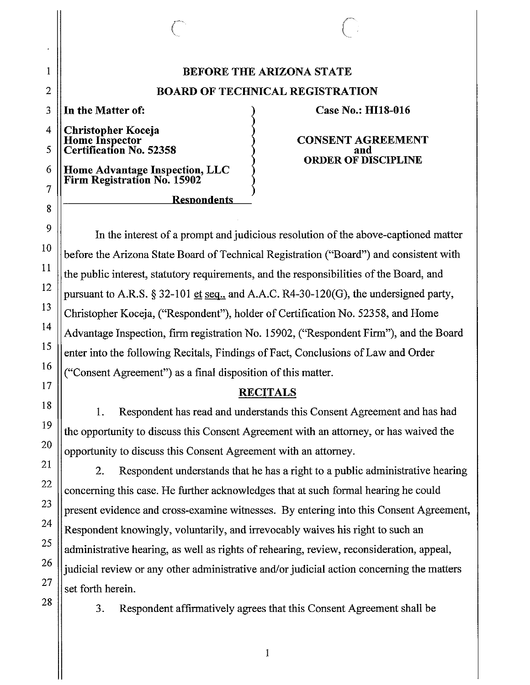# **BEFORE THE ARIZONA STATE BOARD OF TECHNICAL REGISTRATION**

**In the Matter of:** 

**Christopher Koceja Home Inspector Certification No. 52358** 

**Home Advantage Inspection, LLC Firm Registration No. 15902** 

**Resnondents** 

### **Case No.: HllS-016**

 $\bigcirc$ 

**CONSENT AGREEMENT and ORDER OF DISCIPLINE** 

In the interest of a prompt and judicious resolution of the above-captioned matter before the Arizona State Board of Technical Registration ("Board") and consistent with the public interest, statutory requirements, and the responsibilities of the Board, and pursuant to A.R.S. § 32-101 et seq., and A.A.C. R4-30-120(G), the undersigned party, Christopher Koceja, ("Respondent"), holder of Certification No. 52358, and Home Advantage Inspection, firm registration No. 15902, ("Respondent Firm"), and the Board enter into the following Recitals, Findings of Fact, Conclusions of Law and Order ("Consent Agreement") as a final disposition of this matter.

### **RECITALS**

1. Respondent has read and understands this Consent Agreement and has had the opportunity to discuss this Consent Agreement with an attorney, or has waived the opportunity to discuss this Consent Agreement with an attorney.

2. Respondent understands that he has a right to a public administrative hearing concerning this case. He further acknowledges that at such formal hearing he could present evidence and cross-examine witnesses. By entering into this Consent Agreement, Respondent knowingly, voluntarily, and irrevocably waives his right to such an administrative hearing, as well as rights of rehearing, review, reconsideration, appeal, judicial review or any other administrative and/or judicial action concerning the matters set forth herein.

3. Respondent affirmatively agrees that this Consent Agreement shall be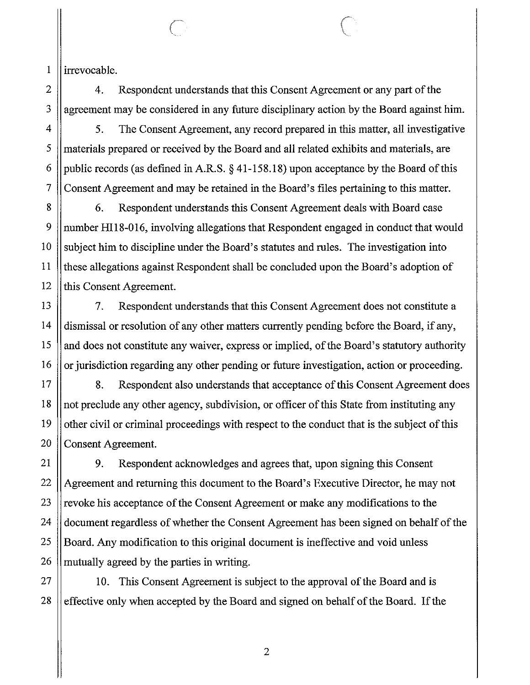1 irrevocable.

2

3

4

5

6

7

8

9

10

11

12

13

14

15

16

17

18

19

20

21

22

23

24

25

26

4. Respondent understands that this Consent Agreement or any part of the agreement may be considered in any future disciplinary action by the Board against him.

5. The Consent Agreement, any record prepared in this matter, all investigative materials prepared or received by the Board and all related exhibits and materials, are public records (as defined in A.R.S. § [41-158.18](https://41-158.18)) upon acceptance by the Board of this Consent Agreement and may be retained in the Board's files pertaining to this matter.

6. Respondent understands this Consent Agreement deals with Board case number HI18-016, involving allegations that Respondent engaged in conduct that would subject him to discipline under the Board's statutes and rules. The investigation into these allegations against Respondent shall be concluded upon the Board's adoption of this Consent Agreement.

7. Respondent understands that this Consent Agreement does not constitute a dismissal or resolution of any other matters currently pending before the Board, if any, and does not constitute any waiver, express or implied, of the Board's statutory authority or jurisdiction regarding any other pending or future investigation, action or proceeding.

8. Respondent also understands that acceptance of this Consent Agreement does not preclude any other agency, subdivision, or officer of this State from instituting any other civil or criminal proceedings with respect to the conduct that is the subject of this Consent Agreement.

9. Respondent acknowledges and agrees that, upon signing this Consent Agreement and returning this document to the Board's Executive Director, he may not revoke his acceptance of the Consent Agreement or make any modifications to the document regardless of whether the Consent Agreement has been signed on behalf of the Board. Any modification to this original document is ineffective and void unless mutually agreed by the parties in writing.

27 28 10. This Consent Agreement is subject to the approval of the Board and is effective only when accepted by the Board and signed on behalf of the Board. If the

2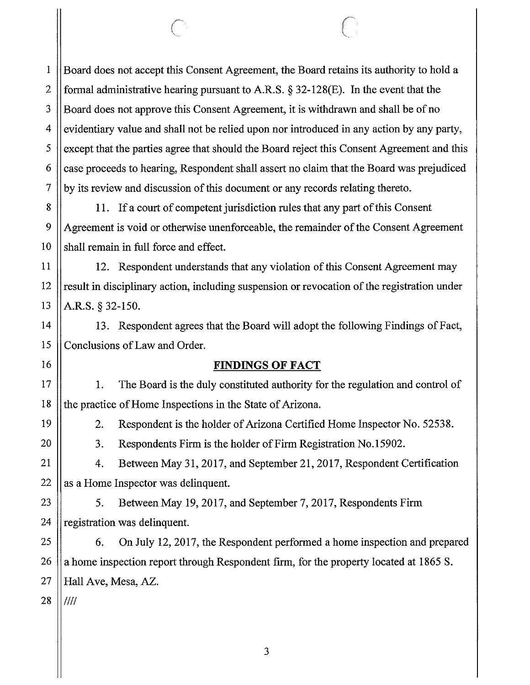Board does not accept this Consent Agreement, the Board retains its authority to hold a formal administrative hearing pursuant to A.R.S. § 32-128(E). In the event that the Board does not approve this Consent Agreement, it is withdrawn and shall be of no evidentiary value and shall not be relied upon nor introduced in any action by any party, except that the parties agree that should the Board reject this Consent Agreement and this case proceeds to hearing, Respondent shall assert no claim that the Board was prejudiced by its review and discussion of this document or any records relating thereto.

 $\mathbb{C}$ 

11. If a court of competent jurisdiction rules that any part of this Consent Agreement is void or otherwise unenforceable, the remainder of the Consent Agreement shall remain in full force and effect.

12. Respondent understands that any violation of this Consent Agreement may result in disciplinary action, including suspension or revocation of the registration under A.R.S. § 32-150.

13. Respondent agrees that the Board will adopt the following Findings of Fact, Conclusions of Law and Order.

**FINDINGS OF FACT** 

1. The Board is the duly constituted authority for the regulation and control of the practice of Home Inspections in the State of Arizona.

2. Respondent is the holder of Arizona Certified Home Inspector No. 52538.

3. Respondents Firm is the holder of Firm Registration No.15902.

4. Between May 31, 2017, and September 21, 2017, Respondent Certification as a Home Inspector was delinquent.

5. Between May 19, 2017, and September 7, 2017, Respondents Firm registration was delinquent.

6. On July 12, 2017, the Respondent performed a home inspection and prepared a home inspection report through Respondent firm, for the property located at 1865 S. Hall Ave, Mesa, AZ.

28 ////

1

2

3

4

5

6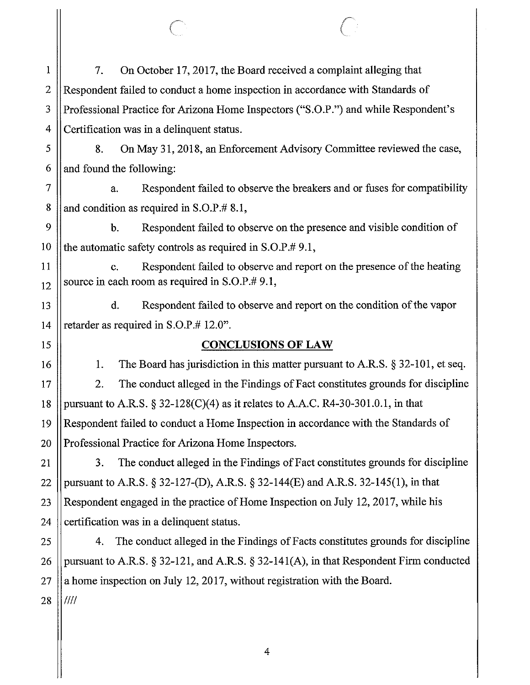7. On October 17, 2017, the Board received a complaint alleging that Respondent failed to conduct a home inspection in accordance with Standards of Professional Practice for Arizona Home Inspectors ("S.O.P.") and while Respondent's Certification was in a delinquent status.

8. On May 31, 2018, an Enforcement Advisory Committee reviewed the case, and found the following:

a. Respondent failed to observe the breakers and or fuses for compatibility and condition as required in S.O.P.# 8.1,

b. Respondent failed to observe on the presence and visible condition of the automatic safety controls as required in S.O.P.# 9.1,

c. Respondent failed to observe and report on the presence of the heating source in each room as required in S.O.P.# 9.1,

d. Respondent failed to observe and report on the condition of the vapor retarder as required in S.O.P.# 12.0".

## **CONCLUSIONS OF LAW**

1. The Board has jurisdiction in this matter pursuant to A.R.S. § 32-101, et seq. 2. The conduct alleged in the Findings of Fact constitutes grounds for discipline pursuant to A.R.S.  $\S 32-128(C)(4)$  as it relates to A.A.C. R4-30-301.0.1, in that Respondent failed to conduct a Home Inspection in accordance with the Standards of Professional Practice for Arizona Home Inspectors.

3. The conduct alleged in the Findings of Fact constitutes grounds for discipline pursuant to A.R.S. § 32-127-(D), A.R.S. § 32-144(£) and A.R.S. 32-145(1), in that Respondent engaged in the practice of Home Inspection on July 12, 2017, while his certification was in a delinquent status.

4. The conduct alleged in the Findings of Facts constitutes grounds for discipline pursuant to A.R.S. § 32-121, and A.R.S. § 32-141(A), in that Respondent Firm conducted a home inspection on July 12, 2017, without registration with the Board. ////

1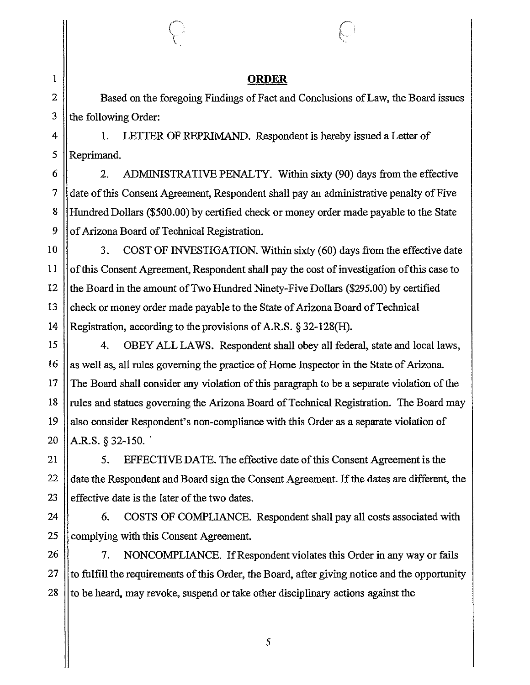#### I **ORDER**

Based on the foregoing Findings of Fact and Conclusions of Law, the Board issues the following Order:

1. LETTER OF REPRIMAND. Respondent is hereby issued a Letter of Reprimand.

2. ADMINISTRATIVE PENALTY. Within sixty (90) days from the effective date of this Consent Agreement, Respondent shall pay an administrative penalty of Five Hundred Dollars (\$500.00) by certified check or money order made payable to the State of Arizona Board of Technical Registration.

10 11 12 13 14 3. COST OF INVESTIGATION. Within sixty (60) days from the effective date of this Consent Agreement, Respondent shall pay the cost of investigation of this case to the Board in the amount of Two Hundred Ninety-Five Dollars (\$295.00) by certified check or money order made payable to the State of Arizona Board of Technical Registration, according to the provisions of A.R.S. § 32-128(H).

15 16 17 18 19 20 4. OBEY ALL LAWS. Respondent shall obey all federal, state and local laws, as well as, all rules governing the practice of Home Inspector in the State of Arizona. The Board shall consider any violation of this paragraph to be a separate violation of the rules and statues governing the Arizona Board of Technical Registration. The Board may also consider Respondent's non-compliance with this Order as a separate violation of A.R.S.  $§$  32-150.

21 22 23 5. EFFECTIVE DATE. The effective date of this Consent Agreement is the date the Respondent and Board sign the Consent Agreement. If the dates are different, the effective date is the later of the two dates.

24 25 6. COSTS OF COMPLIANCE. Respondent shall pay all costs associated with complying with this Consent Agreement.

26 27 28 7. NONCOMPLIANCE. If Respondent violates this Order in any way or fails to fulfill the requirements of this Order, the Board, after giving notice and the opportunity to be heard, may revoke, suspend or take other disciplinary actions against the